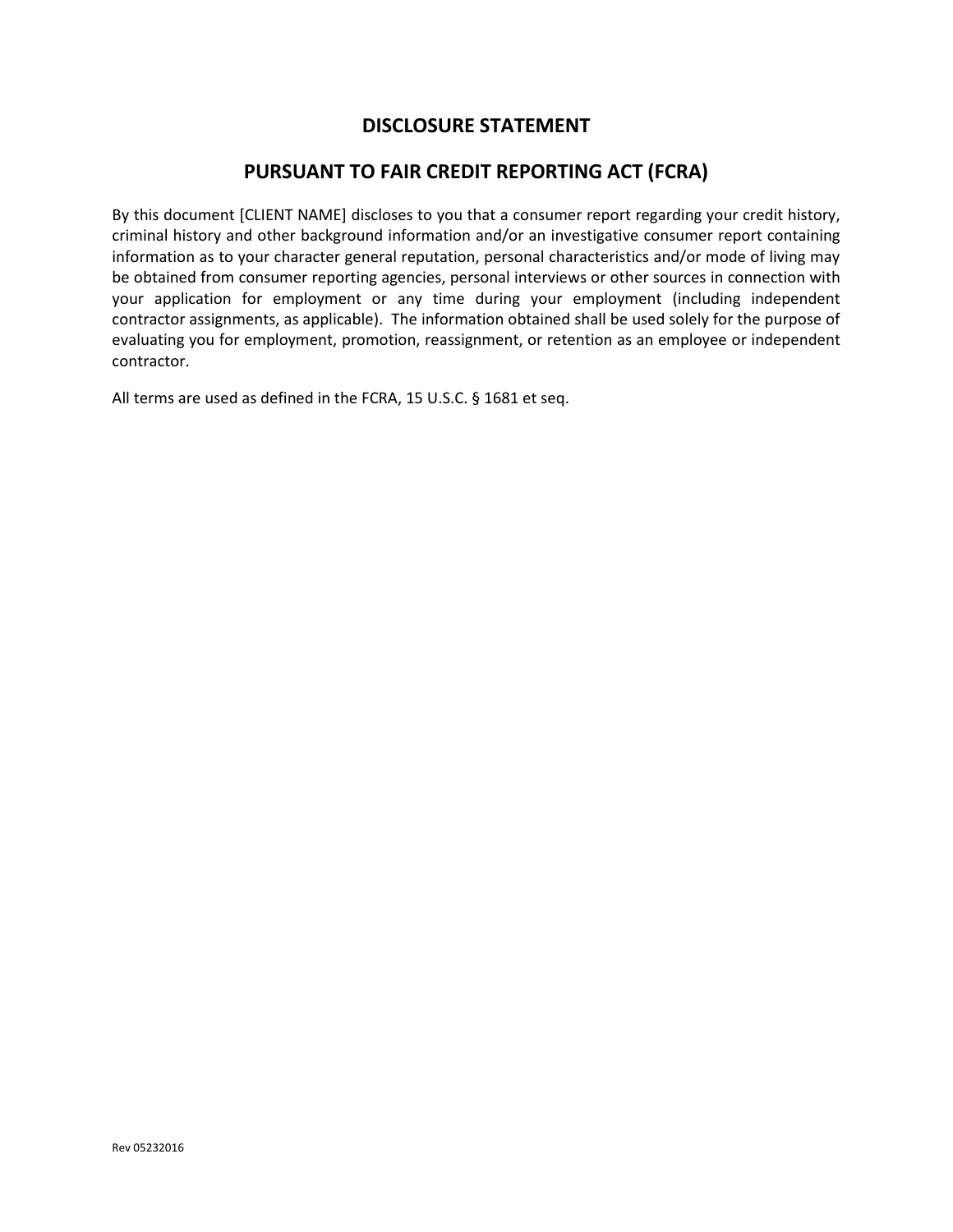## **DISCLOSURE STATEMENT**

## **PURSUANT TO FAIR CREDIT REPORTING ACT (FCRA)**

By this document [CLIENT NAME] discloses to you that a consumer report regarding your credit history, criminal history and other background information and/or an investigative consumer report containing information as to your character general reputation, personal characteristics and/or mode of living may be obtained from consumer reporting agencies, personal interviews or other sources in connection with your application for employment or any time during your employment (including independent contractor assignments, as applicable). The information obtained shall be used solely for the purpose of evaluating you for employment, promotion, reassignment, or retention as an employee or independent contractor.

All terms are used as defined in the FCRA, 15 U.S.C. § 1681 et seq.